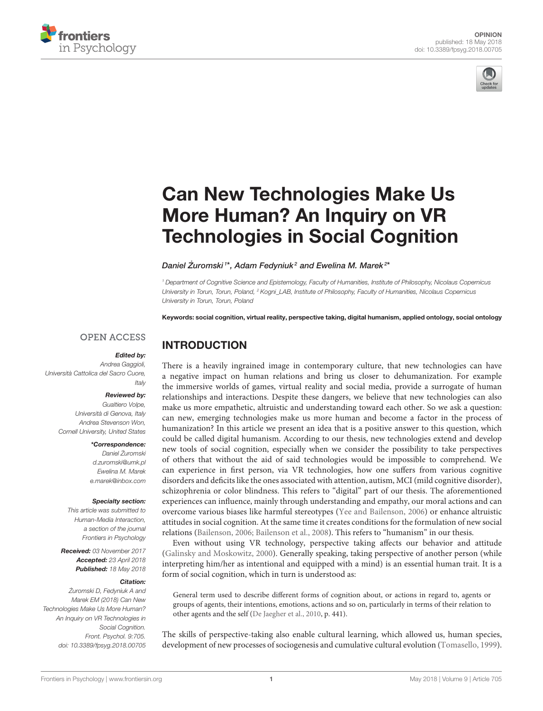



# Can New Technologies Make Us More Human? An Inquiry on VR [Technologies in Social Cognition](https://www.frontiersin.org/articles/10.3389/fpsyg.2018.00705/full)

## Daniel Żuromski<sup>1\*</sup>, [Adam Fedyniuk](http://loop.frontiersin.org/people/557448/overview)<sup>2</sup> and [Ewelina M. Marek](http://loop.frontiersin.org/people/479935/overview)<sup>2\*</sup>

<sup>1</sup> Department of Cognitive Science and Epistemology, Faculty of Humanities, Institute of Philosophy, Nicolaus Copernicus University in Torun, Torun, Poland, <sup>2</sup> Kogni\_LAB, Institute of Philosophy, Faculty of Humanities, Nicolaus Copernicus University in Torun, Torun, Poland

Keywords: social cognition, virtual reality, perspective taking, digital humanism, applied ontology, social ontology

## **OPEN ACCESS**

#### Edited by:

INTRODUCTION

Andrea Gaggioli, Università Cattolica del Sacro Cuore, Italy

#### Reviewed by:

Gualtiero Volpe, Università di Genova, Italy Andrea Stevenson Won, Cornell University, United States

### \*Correspondence:

Daniel Żuromski [d.zuromski@umk.pl](mailto:d.zuromski@umk.pl) Ewelina M. Marek [e.marek@inbox.com](mailto:e.marek@inbox.com)

#### Specialty section:

This article was submitted to Human-Media Interaction, a section of the journal Frontiers in Psychology

Received: 03 November 2017 Accepted: 23 April 2018 Published: 18 May 2018

## Citation:

Żuromski D, Fedyniuk A and Marek EM (2018) Can New Technologies Make Us More Human? An Inquiry on VR Technologies in Social Cognition. Front. Psychol. 9:705. doi: [10.3389/fpsyg.2018.00705](https://doi.org/10.3389/fpsyg.2018.00705) There is a heavily ingrained image in contemporary culture, that new technologies can have a negative impact on human relations and bring us closer to dehumanization. For example the immersive worlds of games, virtual reality and social media, provide a surrogate of human relationships and interactions. Despite these dangers, we believe that new technologies can also make us more empathetic, altruistic and understanding toward each other. So we ask a question: can new, emerging technologies make us more human and become a factor in the process of humanization? In this article we present an idea that is a positive answer to this question, which could be called digital humanism. According to our thesis, new technologies extend and develop new tools of social cognition, especially when we consider the possibility to take perspectives of others that without the aid of said technologies would be impossible to comprehend. We can experience in first person, via VR technologies, how one suffers from various cognitive disorders and deficits like the ones associated with attention, autism, MCI (mild cognitive disorder), schizophrenia or color blindness. This refers to "digital" part of our thesis. The aforementioned experiences can influence, mainly through understanding and empathy, our moral actions and can overcome various biases like harmful stereotypes [\(Yee and Bailenson, 2006\)](#page-3-0) or enhance altruistic attitudes in social cognition. At the same time it creates conditions for the formulation of new social relations [\(Bailenson, 2006;](#page-2-0) [Bailenson et al., 2008\)](#page-2-1). This refers to "humanism" in our thesis.

Even without using VR technology, perspective taking affects our behavior and attitude [\(Galinsky and Moskowitz, 2000\)](#page-3-1). Generally speaking, taking perspective of another person (while interpreting him/her as intentional and equipped with a mind) is an essential human trait. It is a form of social cognition, which in turn is understood as:

General term used to describe different forms of cognition about, or actions in regard to, agents or groups of agents, their intentions, emotions, actions and so on, particularly in terms of their relation to other agents and the self [\(De Jaegher et al., 2010,](#page-3-2) p. 441).

The skills of perspective-taking also enable cultural learning, which allowed us, human species, development of new processes of sociogenesis and cumulative cultural evolution [\(Tomasello, 1999\)](#page-3-3).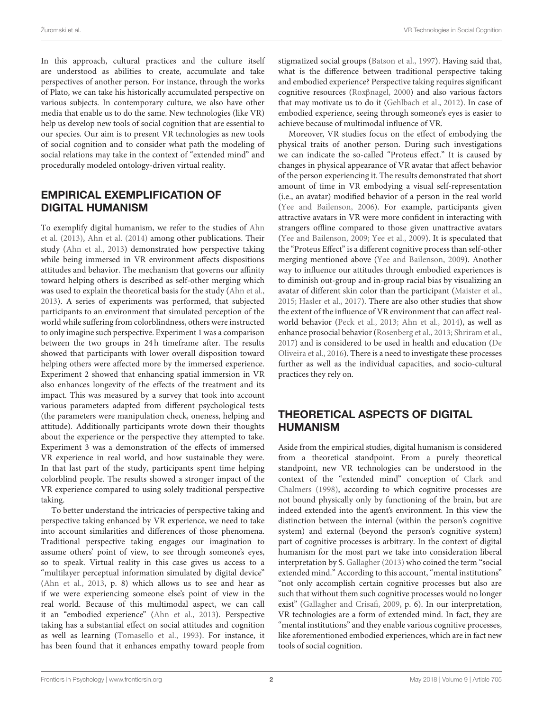In this approach, cultural practices and the culture itself are understood as abilities to create, accumulate and take perspectives of another person. For instance, through the works of Plato, we can take his historically accumulated perspective on various subjects. In contemporary culture, we also have other media that enable us to do the same. New technologies (like VR) help us develop new tools of social cognition that are essential to our species. Our aim is to present VR technologies as new tools of social cognition and to consider what path the modeling of social relations may take in the context of "extended mind" and procedurally modeled ontology-driven virtual reality.

# EMPIRICAL EXEMPLIFICATION OF DIGITAL HUMANISM

To exemplify digital humanism, we refer to the studies of Ahn et al. [\(2013\)](#page-2-2), [Ahn et al. \(2014\)](#page-2-3) among other publications. Their study [\(Ahn et al., 2013\)](#page-2-2) demonstrated how perspective taking while being immersed in VR environment affects dispositions attitudes and behavior. The mechanism that governs our affinity toward helping others is described as self-other merging which was used to explain the theoretical basis for the study [\(Ahn et al.,](#page-2-2) [2013\)](#page-2-2). A series of experiments was performed, that subjected participants to an environment that simulated perception of the world while suffering from colorblindness, others were instructed to only imagine such perspective. Experiment 1 was a comparison between the two groups in 24 h timeframe after. The results showed that participants with lower overall disposition toward helping others were affected more by the immersed experience. Experiment 2 showed that enhancing spatial immersion in VR also enhances longevity of the effects of the treatment and its impact. This was measured by a survey that took into account various parameters adapted from different psychological tests (the parameters were manipulation check, oneness, helping and attitude). Additionally participants wrote down their thoughts about the experience or the perspective they attempted to take. Experiment 3 was a demonstration of the effects of immersed VR experience in real world, and how sustainable they were. In that last part of the study, participants spent time helping colorblind people. The results showed a stronger impact of the VR experience compared to using solely traditional perspective taking.

To better understand the intricacies of perspective taking and perspective taking enhanced by VR experience, we need to take into account similarities and differences of those phenomena. Traditional perspective taking engages our imagination to assume others' point of view, to see through someone's eyes, so to speak. Virtual reality in this case gives us access to a "multilayer perceptual information simulated by digital device" [\(Ahn et al., 2013,](#page-2-2) p. 8) which allows us to see and hear as if we were experiencing someone else's point of view in the real world. Because of this multimodal aspect, we can call it an "embodied experience" [\(Ahn et al., 2013\)](#page-2-2). Perspective taking has a substantial effect on social attitudes and cognition as well as learning [\(Tomasello et al., 1993\)](#page-3-4). For instance, it has been found that it enhances empathy toward people from stigmatized social groups [\(Batson et al., 1997\)](#page-2-4). Having said that, what is the difference between traditional perspective taking and embodied experience? Perspective taking requires significant cognitive resources (Roxβ[nagel, 2000\)](#page-3-5) and also various factors that may motivate us to do it [\(Gehlbach et al., 2012\)](#page-3-6). In case of embodied experience, seeing through someone's eyes is easier to achieve because of multimodal influence of VR.

Moreover, VR studies focus on the effect of embodying the physical traits of another person. During such investigations we can indicate the so-called "Proteus effect." It is caused by changes in physical appearance of VR avatar that affect behavior of the person experiencing it. The results demonstrated that short amount of time in VR embodying a visual self-representation (i.e., an avatar) modified behavior of a person in the real world [\(Yee and Bailenson, 2006\)](#page-3-0). For example, participants given attractive avatars in VR were more confident in interacting with strangers offline compared to those given unattractive avatars [\(Yee and Bailenson, 2009;](#page-3-7) [Yee et al., 2009\)](#page-3-8). It is speculated that the "Proteus Effect" is a different cognitive process than self-other merging mentioned above [\(Yee and Bailenson, 2009\)](#page-3-7). Another way to influence our attitudes through embodied experiences is to diminish out-group and in-group racial bias by visualizing an avatar of different skin color than the participant [\(Maister et al.,](#page-3-9) [2015;](#page-3-9) [Hasler et al., 2017\)](#page-3-10). There are also other studies that show the extent of the influence of VR environment that can affect realworld behavior [\(Peck et al., 2013;](#page-3-11) [Ahn et al., 2014\)](#page-2-3), as well as enhance prosocial behavior [\(Rosenberg et al., 2013;](#page-3-12) [Shriram et al.,](#page-3-13) [2017\)](#page-3-13) and is considered to be used in health and education (De Oliveira et al., [2016\)](#page-3-14). There is a need to investigate these processes further as well as the individual capacities, and socio-cultural practices they rely on.

# THEORETICAL ASPECTS OF DIGITAL HUMANISM

Aside from the empirical studies, digital humanism is considered from a theoretical standpoint. From a purely theoretical standpoint, new VR technologies can be understood in the context of the "extended mind" conception of Clark and Chalmers [\(1998\)](#page-2-5), according to which cognitive processes are not bound physically only by functioning of the brain, but are indeed extended into the agent's environment. In this view the distinction between the internal (within the person's cognitive system) and external (beyond the person's cognitive system) part of cognitive processes is arbitrary. In the context of digital humanism for the most part we take into consideration liberal interpretation by S. [Gallagher \(2013\)](#page-3-15) who coined the term "social extended mind." According to this account, "mental institutions" "not only accomplish certain cognitive processes but also are such that without them such cognitive processes would no longer exist" [\(Gallagher and Crisafi, 2009,](#page-3-16) p. 6). In our interpretation, VR technologies are a form of extended mind. In fact, they are "mental institutions" and they enable various cognitive processes, like aforementioned embodied experiences, which are in fact new tools of social cognition.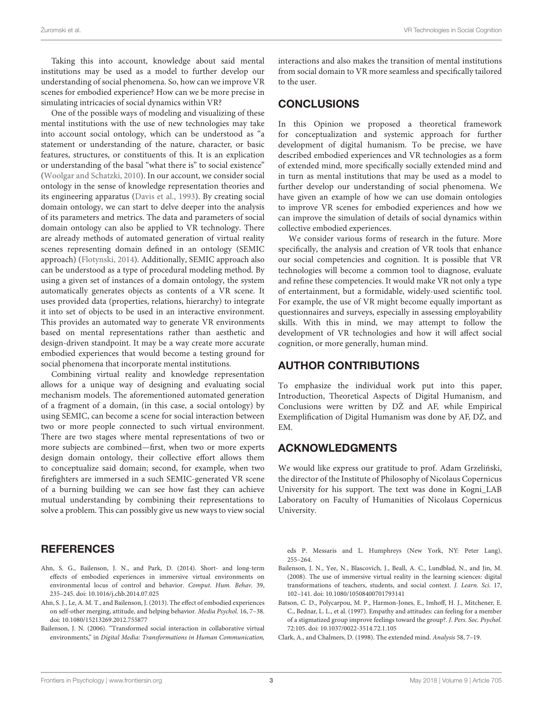Taking this into account, knowledge about said mental institutions may be used as a model to further develop our understanding of social phenomena. So, how can we improve VR scenes for embodied experience? How can we be more precise in simulating intricacies of social dynamics within VR?

One of the possible ways of modeling and visualizing of these mental institutions with the use of new technologies may take into account social ontology, which can be understood as "a statement or understanding of the nature, character, or basic features, structures, or constituents of this. It is an explication or understanding of the basal "what there is" to social existence" [\(Woolgar and Schatzki, 2010\)](#page-3-17). In our account, we consider social ontology in the sense of knowledge representation theories and its engineering apparatus [\(Davis et al., 1993\)](#page-3-18). By creating social domain ontology, we can start to delve deeper into the analysis of its parameters and metrics. The data and parameters of social domain ontology can also be applied to VR technology. There are already methods of automated generation of virtual reality scenes representing domain defined in an ontology (SEMIC approach) [\(Flotynski, 2014\)](#page-3-19). Additionally, SEMIC approach also can be understood as a type of procedural modeling method. By using a given set of instances of a domain ontology, the system automatically generates objects as contents of a VR scene. It uses provided data (properties, relations, hierarchy) to integrate it into set of objects to be used in an interactive environment. This provides an automated way to generate VR environments based on mental representations rather than aesthetic and design-driven standpoint. It may be a way create more accurate embodied experiences that would become a testing ground for social phenomena that incorporate mental institutions.

Combining virtual reality and knowledge representation allows for a unique way of designing and evaluating social mechanism models. The aforementioned automated generation of a fragment of a domain, (in this case, a social ontology) by using SEMIC, can become a scene for social interaction between two or more people connected to such virtual environment. There are two stages where mental representations of two or more subjects are combined—first, when two or more experts design domain ontology, their collective effort allows them to conceptualize said domain; second, for example, when two firefighters are immersed in a such SEMIC-generated VR scene of a burning building we can see how fast they can achieve mutual understanding by combining their representations to solve a problem. This can possibly give us new ways to view social

# **REFERENCES**

- <span id="page-2-3"></span>Ahn, S. G., Bailenson, J. N., and Park, D. (2014). Short- and long-term effects of embodied experiences in immersive virtual environments on environmental locus of control and behavior. Comput. Hum. Behav. 39, 235–245. doi: [10.1016/j.chb.2014.07.025](https://doi.org/10.1016/j.chb.2014.07.025)
- <span id="page-2-2"></span>Ahn, S. J., Le, A. M. T., and Bailenson, J. (2013). The effect of embodied experiences on self-other merging, attitude, and helping behavior. Media Psychol. 16, 7–38. doi: [10.1080/15213269.2012.755877](https://doi.org/10.1080/15213269.2012.755877)
- <span id="page-2-0"></span>Bailenson, J. N. (2006). "Transformed social interaction in collaborative virtual environments," in Digital Media: Transformations in Human Communication,

interactions and also makes the transition of mental institutions from social domain to VR more seamless and specifically tailored to the user.

## CONCLUSIONS

In this Opinion we proposed a theoretical framework for conceptualization and systemic approach for further development of digital humanism. To be precise, we have described embodied experiences and VR technologies as a form of extended mind, more specifically socially extended mind and in turn as mental institutions that may be used as a model to further develop our understanding of social phenomena. We have given an example of how we can use domain ontologies to improve VR scenes for embodied experiences and how we can improve the simulation of details of social dynamics within collective embodied experiences.

We consider various forms of research in the future. More specifically, the analysis and creation of VR tools that enhance our social competencies and cognition. It is possible that VR technologies will become a common tool to diagnose, evaluate and refine these competencies. It would make VR not only a type of entertainment, but a formidable, widely-used scientific tool. For example, the use of VR might become equally important as questionnaires and surveys, especially in assessing employability skills. With this in mind, we may attempt to follow the development of VR technologies and how it will affect social cognition, or more generally, human mind.

## AUTHOR CONTRIBUTIONS

To emphasize the individual work put into this paper, Introduction, Theoretical Aspects of Digital Humanism, and Conclusions were written by  $D\dot{Z}$  and AF, while Empirical Exemplification of Digital Humanism was done by AF, DZ, and EM.

## ACKNOWLEDGMENTS

We would like express our gratitude to prof. Adam Grzeliński, the director of the Institute of Philosophy of Nicolaus Copernicus University for his support. The text was done in Kogni\_LAB Laboratory on Faculty of Humanities of Nicolaus Copernicus University.

eds P. Messaris and L. Humphreys (New York, NY: Peter Lang), 255–264.

- <span id="page-2-1"></span>Bailenson, J. N., Yee, N., Blascovich, J., Beall, A. C., Lundblad, N., and Jin, M. (2008). The use of immersive virtual reality in the learning sciences: digital transformations of teachers, students, and social context. J. Learn. Sci. 17, 102–141. doi: [10.1080/10508400701793141](https://doi.org/10.1080/10508400701793141)
- <span id="page-2-4"></span>Batson, C. D., Polycarpou, M. P., Harmon-Jones, E., Imhoff, H. J., Mitchener, E. C., Bednar, L. L., et al. (1997). Empathy and attitudes: can feeling for a member of a stigmatized group improve feelings toward the group?. J. Pers. Soc. Psychol. 72:105. doi: [10.1037/0022-3514.72.1.105](https://doi.org/10.1037/0022-3514.72.1.105)
- <span id="page-2-5"></span>Clark, A., and Chalmers, D. (1998). The extended mind. Analysis 58, 7–19.